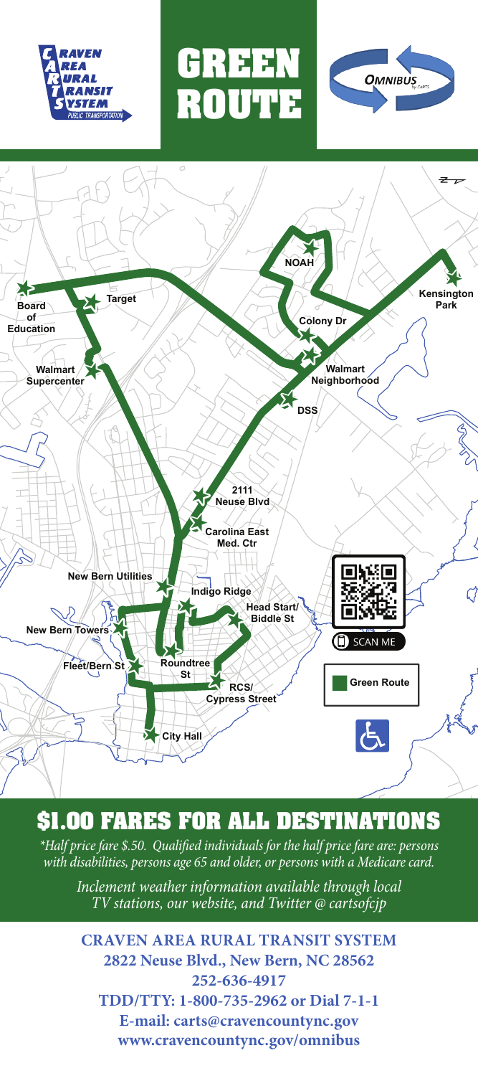





**GREEN ROUTE**

## **\$1.00 FARES FOR ALL DESTINATIONS**

*\*Half price fare \$.50. Qualified individuals for the half price fare are: persons with disabilities, persons age 65 and older, or persons with a Medicare card.*

*Inclement weather information available through local TV stations, our website, and Twitter @ cartsofcjp*

**CRAVEN AREA RURAL TRANSIT SYSTEM 2822 Neuse Blvd., New Bern, NC 28562 252-636-4917 TDD/TTY: 1-800-735-2962 or Dial 7-1-1 E-mail: carts@cravencountync.gov www.cravencountync.gov/omnibus**